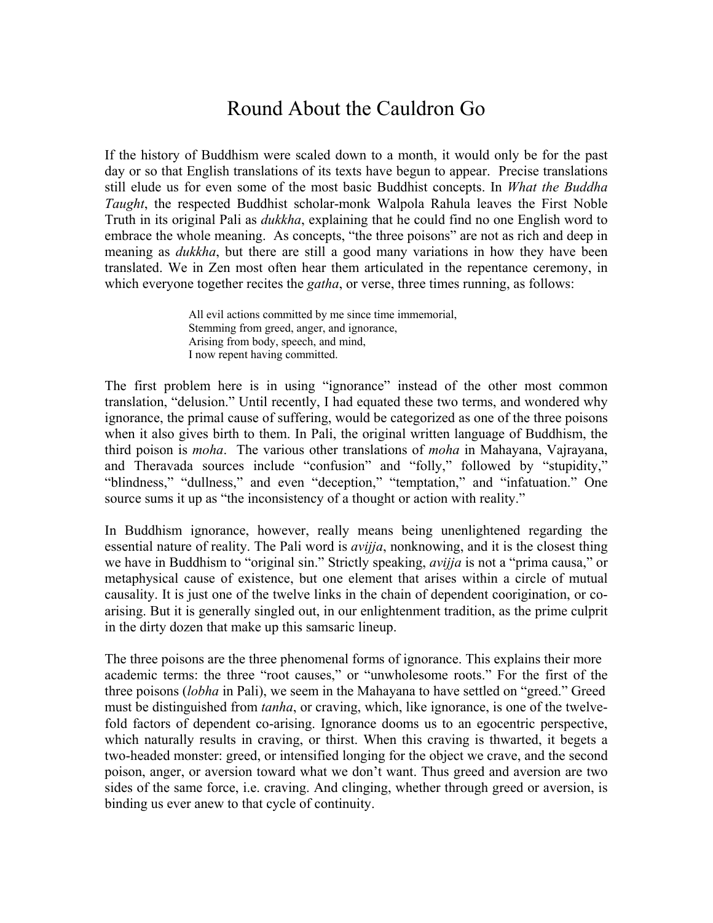## Round About the Cauldron Go

If the history of Buddhism were scaled down to a month, it would only be for the past day or so that English translations of its texts have begun to appear. Precise translations still elude us for even some of the most basic Buddhist concepts. In *What the Buddha Taught*, the respected Buddhist scholar-monk Walpola Rahula leaves the First Noble Truth in its original Pali as *dukkha*, explaining that he could find no one English word to embrace the whole meaning. As concepts, "the three poisons" are not as rich and deep in meaning as *dukkha*, but there are still a good many variations in how they have been translated. We in Zen most often hear them articulated in the repentance ceremony, in which everyone together recites the *gatha*, or verse, three times running, as follows:

> All evil actions committed by me since time immemorial, Stemming from greed, anger, and ignorance, Arising from body, speech, and mind, I now repent having committed.

The first problem here is in using "ignorance" instead of the other most common translation, "delusion." Until recently, I had equated these two terms, and wondered why ignorance, the primal cause of suffering, would be categorized as one of the three poisons when it also gives birth to them. In Pali, the original written language of Buddhism, the third poison is *moha*. The various other translations of *moha* in Mahayana, Vajrayana, and Theravada sources include "confusion" and "folly," followed by "stupidity," "blindness," "dullness," and even "deception," "temptation," and "infatuation." One source sums it up as "the inconsistency of a thought or action with reality."

In Buddhism ignorance, however, really means being unenlightened regarding the essential nature of reality. The Pali word is *avijja*, nonknowing, and it is the closest thing we have in Buddhism to "original sin." Strictly speaking, *avijja* is not a "prima causa," or metaphysical cause of existence, but one element that arises within a circle of mutual causality. It is just one of the twelve links in the chain of dependent coorigination, or coarising. But it is generally singled out, in our enlightenment tradition, as the prime culprit in the dirty dozen that make up this samsaric lineup.

The three poisons are the three phenomenal forms of ignorance. This explains their more academic terms: the three "root causes," or "unwholesome roots." For the first of the three poisons (*lobha* in Pali), we seem in the Mahayana to have settled on "greed." Greed must be distinguished from *tanha*, or craving, which, like ignorance, is one of the twelvefold factors of dependent co-arising. Ignorance dooms us to an egocentric perspective, which naturally results in craving, or thirst. When this craving is thwarted, it begets a two-headed monster: greed, or intensified longing for the object we crave, and the second poison, anger, or aversion toward what we don't want. Thus greed and aversion are two sides of the same force, i.e. craving. And clinging, whether through greed or aversion, is binding us ever anew to that cycle of continuity.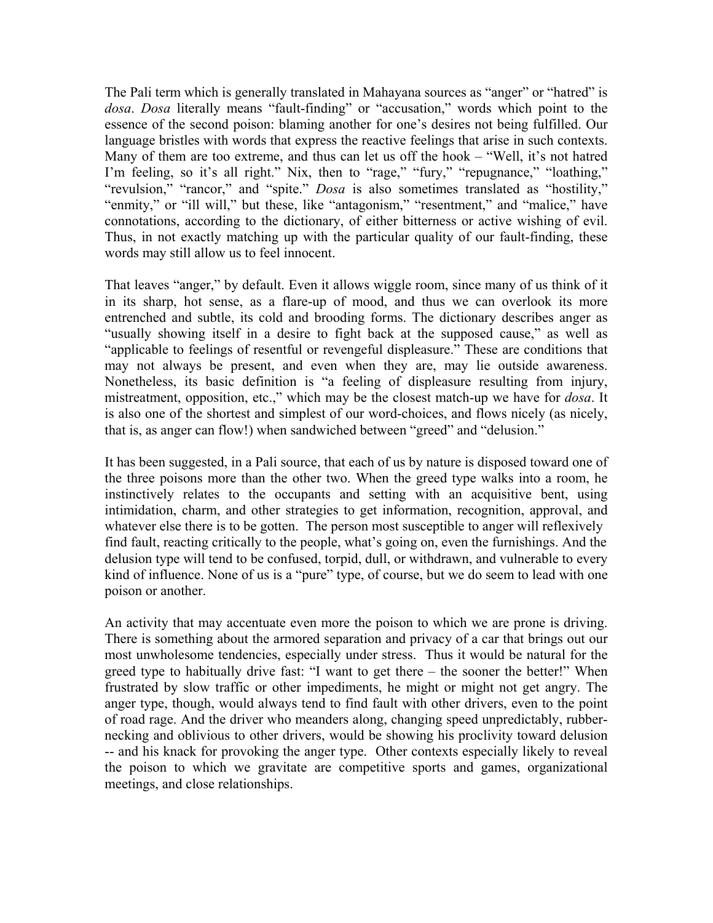The Pali term which is generally translated in Mahayana sources as "anger" or "hatred" is *dosa*. *Dosa* literally means "fault-finding" or "accusation," words which point to the essence of the second poison: blaming another for one's desires not being fulfilled. Our language bristles with words that express the reactive feelings that arise in such contexts. Many of them are too extreme, and thus can let us off the hook – "Well, it's not hatred I'm feeling, so it's all right." Nix, then to "rage," "fury," "repugnance," "loathing," "revulsion," "rancor," and "spite." *Dosa* is also sometimes translated as "hostility," "enmity," or "ill will," but these, like "antagonism," "resentment," and "malice," have connotations, according to the dictionary, of either bitterness or active wishing of evil. Thus, in not exactly matching up with the particular quality of our fault-finding, these words may still allow us to feel innocent.

That leaves "anger," by default. Even it allows wiggle room, since many of us think of it in its sharp, hot sense, as a flare-up of mood, and thus we can overlook its more entrenched and subtle, its cold and brooding forms. The dictionary describes anger as "usually showing itself in a desire to fight back at the supposed cause," as well as "applicable to feelings of resentful or revengeful displeasure." These are conditions that may not always be present, and even when they are, may lie outside awareness. Nonetheless, its basic definition is "a feeling of displeasure resulting from injury, mistreatment, opposition, etc.," which may be the closest match-up we have for *dosa*. It is also one of the shortest and simplest of our word-choices, and flows nicely (as nicely, that is, as anger can flow!) when sandwiched between "greed" and "delusion."

It has been suggested, in a Pali source, that each of us by nature is disposed toward one of the three poisons more than the other two. When the greed type walks into a room, he instinctively relates to the occupants and setting with an acquisitive bent, using intimidation, charm, and other strategies to get information, recognition, approval, and whatever else there is to be gotten. The person most susceptible to anger will reflexively find fault, reacting critically to the people, what's going on, even the furnishings. And the delusion type will tend to be confused, torpid, dull, or withdrawn, and vulnerable to every kind of influence. None of us is a "pure" type, of course, but we do seem to lead with one poison or another.

An activity that may accentuate even more the poison to which we are prone is driving. There is something about the armored separation and privacy of a car that brings out our most unwholesome tendencies, especially under stress. Thus it would be natural for the greed type to habitually drive fast: "I want to get there – the sooner the better!" When frustrated by slow traffic or other impediments, he might or might not get angry. The anger type, though, would always tend to find fault with other drivers, even to the point of road rage. And the driver who meanders along, changing speed unpredictably, rubbernecking and oblivious to other drivers, would be showing his proclivity toward delusion -- and his knack for provoking the anger type. Other contexts especially likely to reveal the poison to which we gravitate are competitive sports and games, organizational meetings, and close relationships.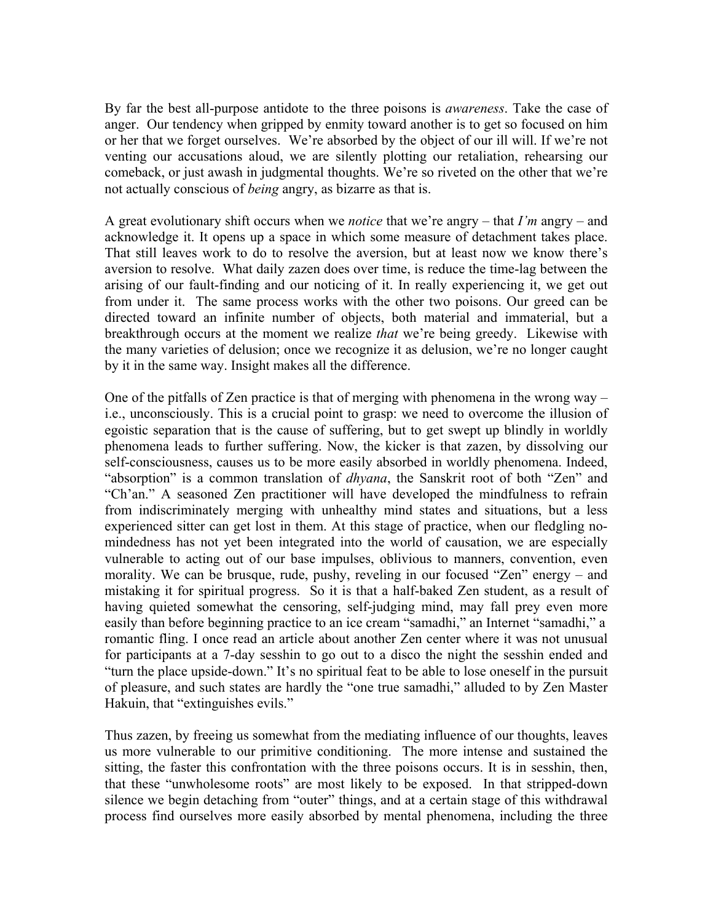By far the best all-purpose antidote to the three poisons is *awareness*. Take the case of anger. Our tendency when gripped by enmity toward another is to get so focused on him or her that we forget ourselves. We're absorbed by the object of our ill will. If we're not venting our accusations aloud, we are silently plotting our retaliation, rehearsing our comeback, or just awash in judgmental thoughts. We're so riveted on the other that we're not actually conscious of *being* angry, as bizarre as that is.

A great evolutionary shift occurs when we *notice* that we're angry – that *I'm* angry – and acknowledge it. It opens up a space in which some measure of detachment takes place. That still leaves work to do to resolve the aversion, but at least now we know there's aversion to resolve. What daily zazen does over time, is reduce the time-lag between the arising of our fault-finding and our noticing of it. In really experiencing it, we get out from under it. The same process works with the other two poisons. Our greed can be directed toward an infinite number of objects, both material and immaterial, but a breakthrough occurs at the moment we realize *that* we're being greedy. Likewise with the many varieties of delusion; once we recognize it as delusion, we're no longer caught by it in the same way. Insight makes all the difference.

One of the pitfalls of Zen practice is that of merging with phenomena in the wrong way – i.e., unconsciously. This is a crucial point to grasp: we need to overcome the illusion of egoistic separation that is the cause of suffering, but to get swept up blindly in worldly phenomena leads to further suffering. Now, the kicker is that zazen, by dissolving our self-consciousness, causes us to be more easily absorbed in worldly phenomena. Indeed, "absorption" is a common translation of *dhyana*, the Sanskrit root of both "Zen" and "Ch'an." A seasoned Zen practitioner will have developed the mindfulness to refrain from indiscriminately merging with unhealthy mind states and situations, but a less experienced sitter can get lost in them. At this stage of practice, when our fledgling nomindedness has not yet been integrated into the world of causation, we are especially vulnerable to acting out of our base impulses, oblivious to manners, convention, even morality. We can be brusque, rude, pushy, reveling in our focused "Zen" energy – and mistaking it for spiritual progress. So it is that a half-baked Zen student, as a result of having quieted somewhat the censoring, self-judging mind, may fall prey even more easily than before beginning practice to an ice cream "samadhi," an Internet "samadhi," a romantic fling. I once read an article about another Zen center where it was not unusual for participants at a 7-day sesshin to go out to a disco the night the sesshin ended and "turn the place upside-down." It's no spiritual feat to be able to lose oneself in the pursuit of pleasure, and such states are hardly the "one true samadhi," alluded to by Zen Master Hakuin, that "extinguishes evils."

Thus zazen, by freeing us somewhat from the mediating influence of our thoughts, leaves us more vulnerable to our primitive conditioning. The more intense and sustained the sitting, the faster this confrontation with the three poisons occurs. It is in sesshin, then, that these "unwholesome roots" are most likely to be exposed. In that stripped-down silence we begin detaching from "outer" things, and at a certain stage of this withdrawal process find ourselves more easily absorbed by mental phenomena, including the three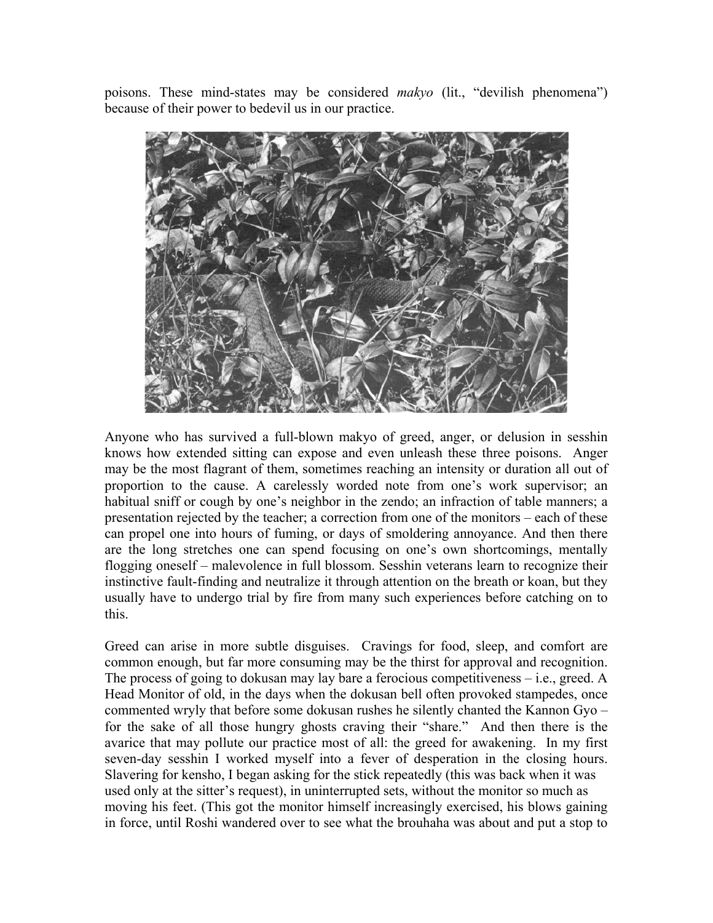poisons. These mind-states may be considered *makyo* (lit., "devilish phenomena") because of their power to bedevil us in our practice.



Anyone who has survived a full-blown makyo of greed, anger, or delusion in sesshin knows how extended sitting can expose and even unleash these three poisons. Anger may be the most flagrant of them, sometimes reaching an intensity or duration all out of proportion to the cause. A carelessly worded note from one's work supervisor; an habitual sniff or cough by one's neighbor in the zendo; an infraction of table manners; a presentation rejected by the teacher; a correction from one of the monitors – each of these can propel one into hours of fuming, or days of smoldering annoyance. And then there are the long stretches one can spend focusing on one's own shortcomings, mentally flogging oneself – malevolence in full blossom. Sesshin veterans learn to recognize their instinctive fault-finding and neutralize it through attention on the breath or koan, but they usually have to undergo trial by fire from many such experiences before catching on to this.

Greed can arise in more subtle disguises. Cravings for food, sleep, and comfort are common enough, but far more consuming may be the thirst for approval and recognition. The process of going to dokusan may lay bare a ferocious competitiveness – i.e., greed. A Head Monitor of old, in the days when the dokusan bell often provoked stampedes, once commented wryly that before some dokusan rushes he silently chanted the Kannon Gyo – for the sake of all those hungry ghosts craving their "share." And then there is the avarice that may pollute our practice most of all: the greed for awakening. In my first seven-day sesshin I worked myself into a fever of desperation in the closing hours. Slavering for kensho, I began asking for the stick repeatedly (this was back when it was used only at the sitter's request), in uninterrupted sets, without the monitor so much as moving his feet. (This got the monitor himself increasingly exercised, his blows gaining in force, until Roshi wandered over to see what the brouhaha was about and put a stop to